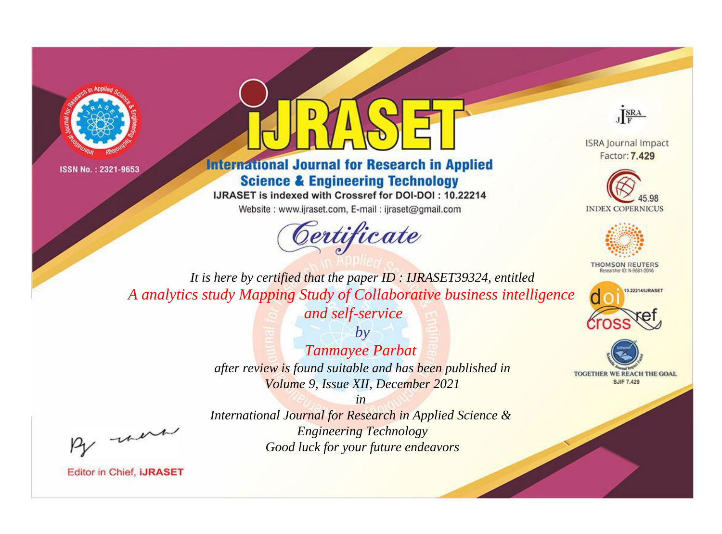



## **International Journal for Research in Applied Science & Engineering Technology**

IJRASET is indexed with Crossref for DOI-DOI: 10.22214

Website: www.ijraset.com, E-mail: ijraset@gmail.com



JERA

**ISRA Journal Impact** Factor: 7.429





**THOMSON REUTERS** 



TOGETHER WE REACH THE GOAL **SJIF 7.429** 

*It is here by certified that the paper ID : IJRASET39324, entitled A analytics study Mapping Study of Collaborative business intelligence* 

*and self-service*

*by Tanmayee Parbat after review is found suitable and has been published in Volume 9, Issue XII, December 2021*

, un

*International Journal for Research in Applied Science & Engineering Technology Good luck for your future endeavors*

*in*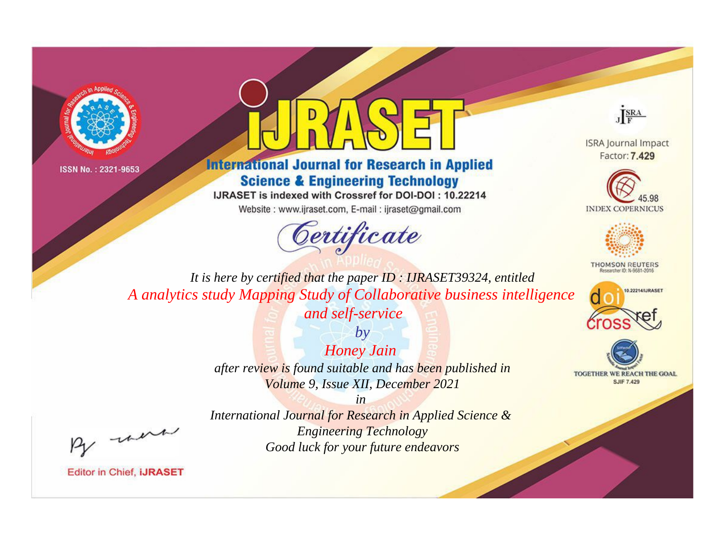



## **International Journal for Research in Applied Science & Engineering Technology**

IJRASET is indexed with Crossref for DOI-DOI: 10.22214

Website: www.ijraset.com, E-mail: ijraset@gmail.com



JERA

**ISRA Journal Impact** Factor: 7.429





**THOMSON REUTERS** 



TOGETHER WE REACH THE GOAL **SJIF 7.429** 

*It is here by certified that the paper ID : IJRASET39324, entitled A analytics study Mapping Study of Collaborative business intelligence* 

*and self-service*

*by Honey Jain after review is found suitable and has been published in Volume 9, Issue XII, December 2021*

*in* 

, un

*International Journal for Research in Applied Science & Engineering Technology Good luck for your future endeavors*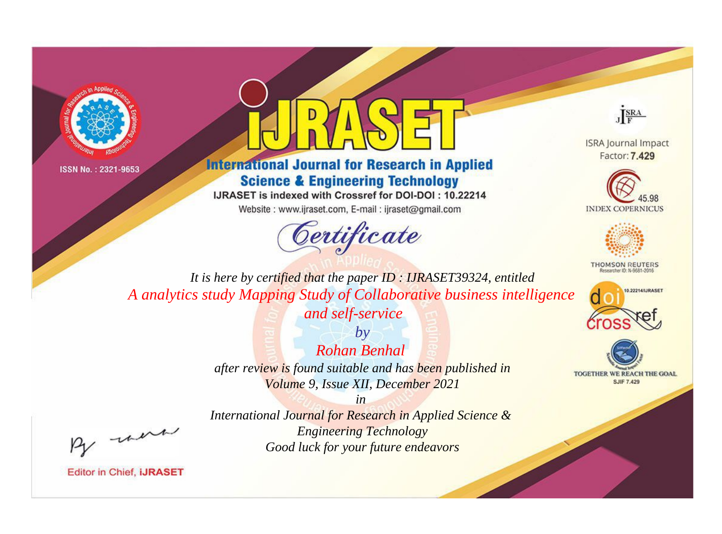



## **International Journal for Research in Applied Science & Engineering Technology**

IJRASET is indexed with Crossref for DOI-DOI: 10.22214

Website: www.ijraset.com, E-mail: ijraset@gmail.com



JERA

**ISRA Journal Impact** Factor: 7.429





**THOMSON REUTERS** 



TOGETHER WE REACH THE GOAL **SJIF 7.429** 

*It is here by certified that the paper ID : IJRASET39324, entitled A analytics study Mapping Study of Collaborative business intelligence* 

*and self-service*

*by Rohan Benhal after review is found suitable and has been published in Volume 9, Issue XII, December 2021*

*in* 

, un

*International Journal for Research in Applied Science & Engineering Technology Good luck for your future endeavors*